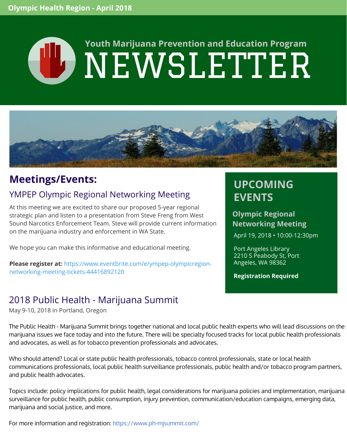# NEWSLETTER **Youth Marijuana Prevention and Education Program**



# **Meetings/Events:**

### YMPEP Olympic Regional Networking Meeting

At this meeting we are excited to share our proposed 5-year regional strategic plan and listen to a presentation from Steve Freng from West Sound Narcotics Enforcement Team. Steve will provide current information on the marijuana industry and enforcement in WA State.

We hope you can make this informative and educational meeting.

**Please register at:** [https://www.eventbrite.com/e/ympep-olympicregion](https://www.eventbrite.com/e/ympep-olympicregion-networking-meeting-tickets-44416892120)networking-meeting-tickets-44416892120

## 2018 Public Health - Marijuana Summit

May 9-10, 2018 in Portland, Oregon

#### The Public Health - Marijuana Summit brings together national and local public health experts who will lead discussions on the marijuana issues we face today and into the future. There will be specialty focused tracks for local public health professionals and advocates, as well as for tobacco prevention professionals and advocates.

Who should attend? Local or state public health professionals, tobacco control professionals, state or local health communications professionals, local public health surveillance professionals, public health and/or tobacco program partners, and public health advocates.

Topics include: policy implications for public health, legal considerations for marijuana policies and implementation, marijuana surveillance for public health, public consumption, injury prevention, communication/education campaigns, emerging data, marijuana and social justice, and more.

For more information and registration: <https://www.ph-mjsummit.com/>

# **UPCOMING EVENTS**

#### **Olympic Regional Networking Meeting**

April 19, 2018 • 10:00-12:30pm

Port Angeles Library 2210 S Peabody St, Port Angeles, WA 98362

**Registration Required**